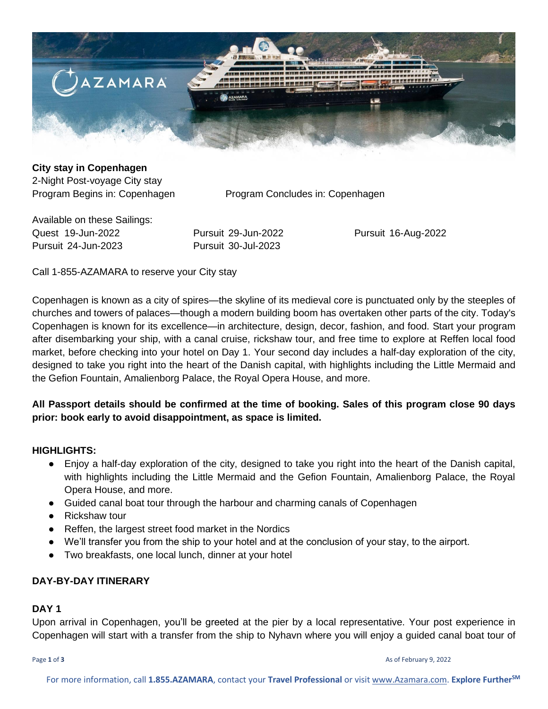

## **City stay in Copenhagen**

2-Night Post-voyage City stay

Program Begins in: Copenhagen Program Concludes in: Copenhagen

Available on these Sailings: Quest 19-Jun-2022 Pursuit 29-Jun-2022 Pursuit 16-Aug-2022 Pursuit 24-Jun-2023 Pursuit 30-Jul-2023

Call 1-855-AZAMARA to reserve your City stay

Copenhagen is known as a city of spires—the skyline of its medieval core is punctuated only by the steeples of churches and towers of palaces—though a modern building boom has overtaken other parts of the city. Today's Copenhagen is known for its excellence—in architecture, design, decor, fashion, and food. Start your program after disembarking your ship, with a canal cruise, rickshaw tour, and free time to explore at Reffen local food market, before checking into your hotel on Day 1. Your second day includes a half-day exploration of the city, designed to take you right into the heart of the Danish capital, with highlights including the Little Mermaid and the Gefion Fountain, Amalienborg Palace, the Royal Opera House, and more.

## **All Passport details should be confirmed at the time of booking. Sales of this program close 90 days prior: book early to avoid disappointment, as space is limited.**

### **HIGHLIGHTS:**

- Enjoy a half-day exploration of the city, designed to take you right into the heart of the Danish capital, with highlights including the Little Mermaid and the Gefion Fountain, Amalienborg Palace, the Royal Opera House, and more.
- Guided canal boat tour through the harbour and charming canals of Copenhagen
- Rickshaw tour
- Reffen, the largest street food market in the Nordics
- We'll transfer you from the ship to your hotel and at the conclusion of your stay, to the airport.
- Two breakfasts, one local lunch, dinner at your hotel

## **DAY-BY-DAY ITINERARY**

#### **DAY 1**

Upon arrival in Copenhagen, you'll be greeted at the pier by a local representative. Your post experience in Copenhagen will start with a transfer from the ship to Nyhavn where you will enjoy a guided canal boat tour of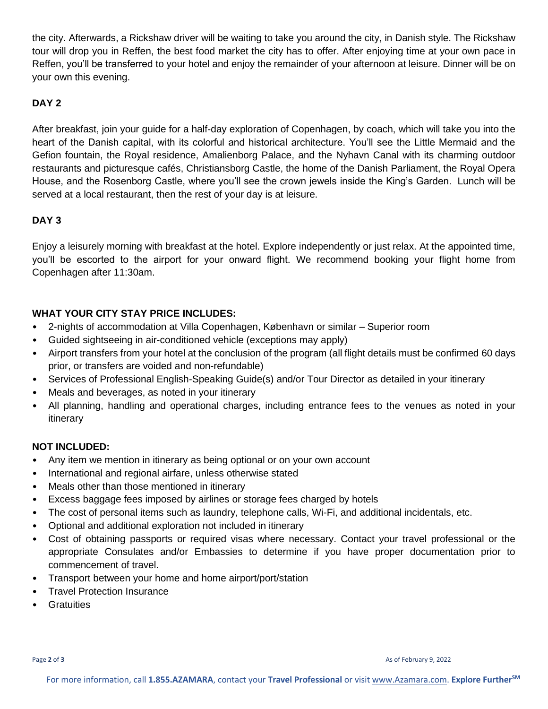the city. Afterwards, a Rickshaw driver will be waiting to take you around the city, in Danish style. The Rickshaw tour will drop you in Reffen, the best food market the city has to offer. After enjoying time at your own pace in Reffen, you'll be transferred to your hotel and enjoy the remainder of your afternoon at leisure. Dinner will be on your own this evening.

# **DAY 2**

After breakfast, join your guide for a half-day exploration of Copenhagen, by coach, which will take you into the heart of the Danish capital, with its colorful and historical architecture. You'll see the Little Mermaid and the Gefion fountain, the Royal residence, Amalienborg Palace, and the Nyhavn Canal with its charming outdoor restaurants and picturesque cafés, Christiansborg Castle, the home of the Danish Parliament, the Royal Opera House, and the Rosenborg Castle, where you'll see the crown jewels inside the King's Garden. Lunch will be served at a local restaurant, then the rest of your day is at leisure.

## **DAY 3**

Enjoy a leisurely morning with breakfast at the hotel. Explore independently or just relax. At the appointed time, you'll be escorted to the airport for your onward flight. We recommend booking your flight home from Copenhagen after 11:30am.

## **WHAT YOUR CITY STAY PRICE INCLUDES:**

- 2-nights of accommodation at Villa Copenhagen, København or similar Superior room
- Guided sightseeing in air-conditioned vehicle (exceptions may apply)
- Airport transfers from your hotel at the conclusion of the program (all flight details must be confirmed 60 days prior, or transfers are voided and non-refundable)
- Services of Professional English-Speaking Guide(s) and/or Tour Director as detailed in your itinerary
- Meals and beverages, as noted in your itinerary
- All planning, handling and operational charges, including entrance fees to the venues as noted in your itinerary

## **NOT INCLUDED:**

- Any item we mention in itinerary as being optional or on your own account
- International and regional airfare, unless otherwise stated
- Meals other than those mentioned in itinerary
- Excess baggage fees imposed by airlines or storage fees charged by hotels
- The cost of personal items such as laundry, telephone calls, Wi-Fi, and additional incidentals, etc.
- Optional and additional exploration not included in itinerary
- Cost of obtaining passports or required visas where necessary. Contact your travel professional or the appropriate Consulates and/or Embassies to determine if you have proper documentation prior to commencement of travel.
- Transport between your home and home airport/port/station
- Travel Protection Insurance
- Gratuities

Page **2** of **3** As of February 9, 2022